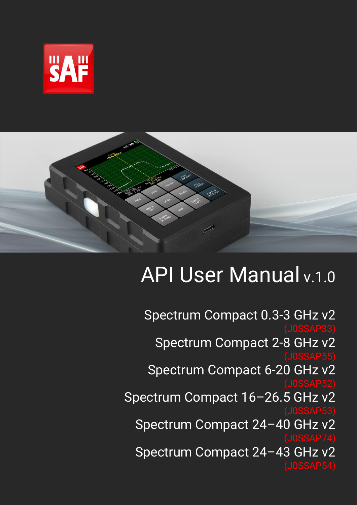



# API User Manual v.1.0

Spectrum Compact 0.3-3 GHz v2 Spectrum Compact 2-8 GHz v2 Spectrum Compact 6-20 GHz v2 Spectrum Compact 16–26.5 GHz v2 Spectrum Compact 24–40 GHz v2 Spectrum Compact 24–43 GHz v2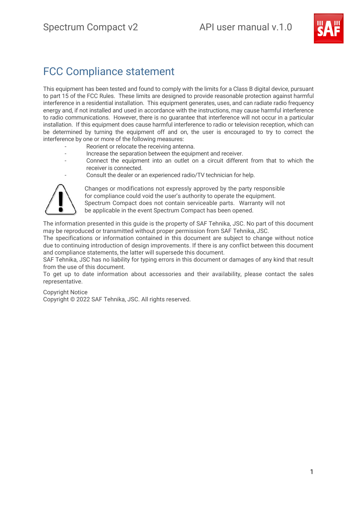

### FCC Compliance statement

This equipment has been tested and found to comply with the limits for a Class B digital device, pursuant to part 15 of the FCC Rules. These limits are designed to provide reasonable protection against harmful interference in a residential installation. This equipment generates, uses, and can radiate radio frequency energy and, if not installed and used in accordance with the instructions, may cause harmful interference to radio communications. However, there is no guarantee that interference will not occur in a particular installation. If this equipment does cause harmful interference to radio or television reception, which can be determined by turning the equipment off and on, the user is encouraged to try to correct the interference by one or more of the following measures:

- Reorient or relocate the receiving antenna.
- Increase the separation between the equipment and receiver.
- Connect the equipment into an outlet on a circuit different from that to which the receiver is connected.
	- Consult the dealer or an experienced radio/TV technician for help.



Changes or modifications not expressly approved by the party responsible for compliance could void the user's authority to operate the equipment. Spectrum Compact does not contain serviceable parts. Warranty will not be applicable in the event Spectrum Compact has been opened.

The information presented in this guide is the property of SAF Tehnika, JSC. No part of this document may be reproduced or transmitted without proper permission from SAF Tehnika, JSC.

The specifications or information contained in this document are subject to change without notice due to continuing introduction of design improvements. If there is any conflict between this document and compliance statements, the latter will supersede this document.

SAF Tehnika, JSC has no liability for typing errors in this document or damages of any kind that result from the use of this document.

To get up to date information about accessories and their availability, please contact the sales representative.

### Copyright Notice

Copyright © 2022 SAF Tehnika, JSC. All rights reserved.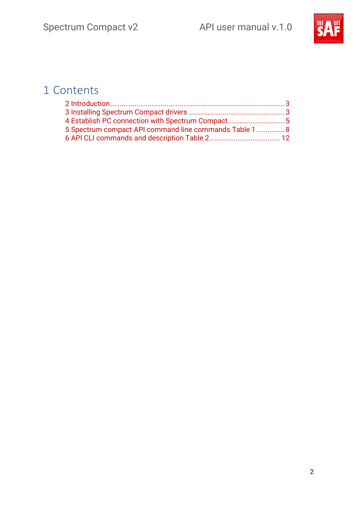

### 1 Contents

| 4 Establish PC connection with Spectrum Compact 5      |  |
|--------------------------------------------------------|--|
| 5 Spectrum compact API command line commands Table 1 8 |  |
|                                                        |  |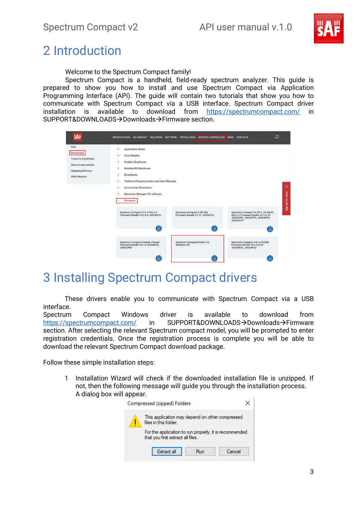

### <span id="page-3-0"></span>2 Introduction

Welcome to the Spectrum Compact family!

Spectrum Compact is a handheld, field-ready spectrum analyzer. This guide is prepared to show you how to install and use Spectrum Compact via Application Programming Interface (API). The guide will contain two tutorials that show you how to communicate with Spectrum Compact via a USB interface. Spectrum Compact driver installation is available to download from <https://spectrumcompact.com/> in SUPPORT&DOWNLOADS→Downloads→Firmware section.

| <b>SAF</b>                                                                                                                | SPECIFICATIONS SG COMPACT SOLUTIONS SOFTWARE VIRTUAL DEMO SUPPORT & DOWNLOADS NEWS CONTACTS<br><b>Product Presentation</b>                                                                                                                                           |                                                                  |                                                                                                                           | $\Omega$         |
|---------------------------------------------------------------------------------------------------------------------------|----------------------------------------------------------------------------------------------------------------------------------------------------------------------------------------------------------------------------------------------------------------------|------------------------------------------------------------------|---------------------------------------------------------------------------------------------------------------------------|------------------|
| FAQ<br><b>Downloads</b><br><b>Terms &amp; Conditions</b><br>Returns/guarantees<br>Shipping/Delivery<br><b>RMA/Repairs</b> | <b>Application Notes</b><br>÷<br><b>Case Studies</b><br>+<br><b>Product Brochures</b><br>÷<br><b>Solution Kit Brochures</b><br>$\pm$<br><b>Datasheets</b><br>$^{+}$<br><b>Technical Documentation and User Manuals</b><br>÷<br><b>Accessories Brochures</b><br>$\pm$ |                                                                  |                                                                                                                           | $\times$         |
|                                                                                                                           | Spectrum Manager PC software<br>Firmware<br>Spectrum Compact 0.3-3 GHz v.2<br>Firmware Bundle v5.2.8.6 J0SSAP33<br>Έ.                                                                                                                                                | Spectrum Compact 2-40 GHz<br>Firmware Bundle V3.31 J0SSAP1x<br>Έ | Spectrum Compact 16-26.5, 24-40/43<br>GHz v.2 Firmware Bundle v5.3.6.12<br>J0SSAP53, J0SSAP74, J0SSAP54,<br>J0SSAH74<br>口 | Sign up for news |
|                                                                                                                           | Spectrum Compact E-band, V-band<br>Firmware Bundle V4.10 J0SSAP60,<br>J0SSAP80<br>口                                                                                                                                                                                  | <b>Spectrum Compact Drivers for</b><br>Windows OS<br>$\Box$      | Spectrum Compact 2-8, 6-20 GHz<br>Firmware Bundle v5.4.3.6 for<br>J0SSAP55, J0SSAP52                                      |                  |

### <span id="page-3-1"></span>3 Installing Spectrum Compact drivers

These drivers enable you to communicate with Spectrum Compact via a USB interface.

Spectrum Compact Windows driver is available to download from <https://spectrumcompact.com/> in SUPPORT&DOWNLOADS→Downloads→Firmware section. After selecting the relevant Spectrum compact model, you will be prompted to enter registration credentials. Once the registration process is complete you will be able to download the relevant Spectrum Compact download package.

Follow these simple installation steps:

1 Installation Wizard will check if the downloaded installation file is unzipped. If not, then the following message will guide you through the installation process. A dialog box will appear.

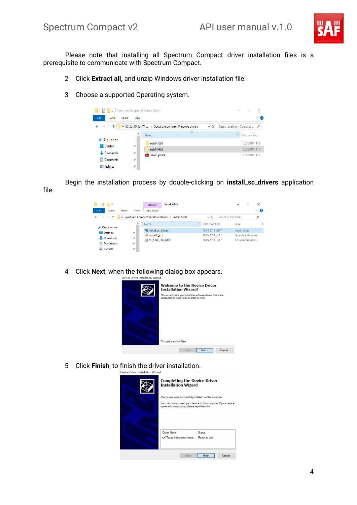

Please note that installing all Spectrum Compact driver installation files is a prerequisite to communicate with Spectrum Compact.

- 2 Click **Extract all,** and unzip Windows driver installation file.
- 3 Choose a supported Operating system.

|                     |                      | $\frac{1}{\sqrt{2}}$ Spectrum Compact Windows Drivers |         | ×                          |
|---------------------|----------------------|-------------------------------------------------------|---------|----------------------------|
| File<br>Home        | Share<br>View        |                                                       |         | $\vee$ 0                   |
| $\vee$              |                      | ↑ SC_03-3GHz_FW_v > Spectrum Compact Windows Drivers  | $\circ$ | Search Spectrum Compact  p |
| <b>Duick access</b> | ◠                    | $\wedge$<br>Name                                      |         | $\vee$ Date modified       |
| $\Box$ Desktop      | $\overrightarrow{x}$ | install 32bit                                         |         | 10.05.2019 13:18           |
|                     |                      | install 64bit                                         |         | 10.05.2019 13:18           |
| Downloads           | À                    | <b>PDF</b> DriverUpdate                               |         | 10.05.2019 13:17           |
| 兽<br>Documents      | À                    |                                                       |         |                            |
| Pictures            | $\mathcal{R}$        |                                                       |         |                            |

Begin the installation process by double-clicking on **install\_sc\_drivers** application file.

| a şih                                                                                                                                     |                     | install 64bit<br>Manage |                               | $\times$           |  |  |  |  |  |  |
|-------------------------------------------------------------------------------------------------------------------------------------------|---------------------|-------------------------|-------------------------------|--------------------|--|--|--|--|--|--|
| File<br>Home                                                                                                                              | Share<br>View       | <b>App Tools</b>        |                               | Ø<br>$\checkmark$  |  |  |  |  |  |  |
| « Spectrum Compact Windows Drivers > install 64bit<br>Search install 64bit<br>$\leftarrow$ $\rightarrow$ $\sim$<br>Ō<br>۹<br>$\checkmark$ |                     |                         |                               |                    |  |  |  |  |  |  |
| <b>Duick access</b>                                                                                                                       | $\hat{\phantom{1}}$ | $\lambda$<br>Name       | Date modified<br>$\checkmark$ | Si<br>Type         |  |  |  |  |  |  |
| $\Box$ Desktop                                                                                                                            | $\mathcal{R}$       | install sc drivers      | 10.05.2019 13:17              | Application        |  |  |  |  |  |  |
|                                                                                                                                           |                     | msp430_cdc              | 10.05.2019 13:17              | Security Catalogue |  |  |  |  |  |  |
| Downloads                                                                                                                                 | $\pi$               | SC CDC HID MSC          | 10.05.2019 13:17              | Setup Information  |  |  |  |  |  |  |
| 輸<br>Documents                                                                                                                            | $\mathcal{R}$       |                         |                               |                    |  |  |  |  |  |  |
| Pictures                                                                                                                                  | $\mathcal{R}$       |                         |                               |                    |  |  |  |  |  |  |

4 Click **Next**, when the following dialog box appears.



5 Click **Finish**, to finish the driver installation.

| <b>Completing the Device Driver</b><br><b>Installation Wizard</b>                                            |                                                                  |
|--------------------------------------------------------------------------------------------------------------|------------------------------------------------------------------|
| The drivers were successfully installed on this computer.<br>came with instructions, please read them first. | You can now connect your device to this computer. If your device |
| <b>Driver Name</b><br>Texas Instruments (usbs                                                                | <b>Status</b><br>Ready to use                                    |
| $<$ Back                                                                                                     | Cancel<br>Finish                                                 |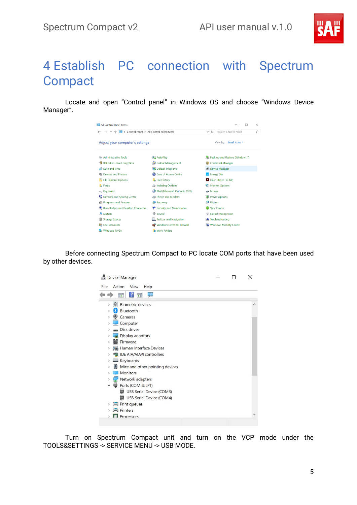

## <span id="page-5-0"></span>4 Establish PC connection with Spectrum **Compact**

Locate and open "Control panel" in Windows OS and choose "Windows Device Manager".

| <b>EE All Control Panel Items</b><br>$\times$<br>> Control Panel > All Control Panel Items<br>Search Control Panel<br>$\circ$<br>م |                                   |                                 |  |  |  |  |  |  |
|------------------------------------------------------------------------------------------------------------------------------------|-----------------------------------|---------------------------------|--|--|--|--|--|--|
| Adjust your computer's settings                                                                                                    | View by: Small icons              |                                 |  |  |  |  |  |  |
| Administrative Tools                                                                                                               | <b>AutoPlay</b>                   | Back up and Restore (Windows 7) |  |  |  |  |  |  |
| <b>BitLocker Drive Encryption</b>                                                                                                  | <b>St</b> Colour Management       | <b>Credential Manager</b>       |  |  |  |  |  |  |
| Date and Time                                                                                                                      | <b>To</b> Default Programs        | Device Manager                  |  |  |  |  |  |  |
| <b>Strategy Devices and Printers</b>                                                                                               | <b>Co</b> Ease of Access Centre   | <b>Energy Star</b>              |  |  |  |  |  |  |
| File Explorer Options                                                                                                              | <b>File History</b>               | Flash Player (32-bit)           |  |  |  |  |  |  |
| A Fonts                                                                                                                            | Indexing Options                  | Internet Options                |  |  |  |  |  |  |
| <br>Keyboard                                                                                                                       | Mail (Microsoft Outlook 2016)     | Mouse                           |  |  |  |  |  |  |
| Network and Sharing Centre                                                                                                         | Phone and Modem                   | Power Options                   |  |  |  |  |  |  |
| <b>Di</b> Programs and Features                                                                                                    | <b>Recovery</b>                   | Region                          |  |  |  |  |  |  |
| RemoteApp and Desktop Connectio                                                                                                    | Security and Maintenance          | Sync Centre                     |  |  |  |  |  |  |
| System                                                                                                                             | Sound                             | <b>Speech Recognition</b>       |  |  |  |  |  |  |
| Storage Spaces                                                                                                                     | <b>Ell</b> Taskbar and Navigation |                                 |  |  |  |  |  |  |
| <b>图 User Accounts</b>                                                                                                             | <b>Windows Defender Firewall</b>  | <b>Windows Mobility Centre</b>  |  |  |  |  |  |  |
| <b>Windows To Go</b>                                                                                                               | <b>Work Folders</b>               |                                 |  |  |  |  |  |  |

Before connecting Spectrum Compact to PC locate COM ports that have been used by other devices.



Turn on Spectrum Compact unit and turn on the VCP mode under the TOOLS&SETTINGS -> SERVICE MENU -> USB MODE.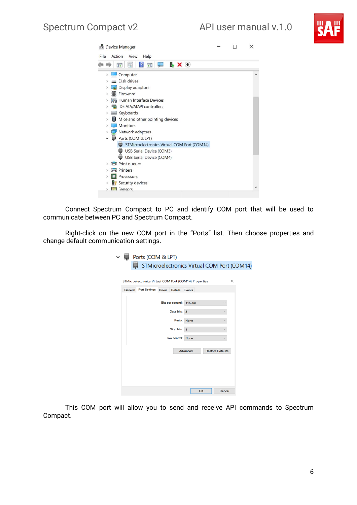

|      |               |        | <b>Device Manager</b>                                       |  | X |
|------|---------------|--------|-------------------------------------------------------------|--|---|
| File |               | Action | View<br>Help                                                |  |   |
|      |               |        | $\overline{?}$<br>$\mathbb{R} \times \Theta$<br>画<br>詩<br>后 |  |   |
|      | $\mathcal{P}$ |        | Computer                                                    |  |   |
|      |               |        | Disk drives                                                 |  |   |
|      |               |        | Display adaptors                                            |  |   |
|      | >             |        | Firmware                                                    |  |   |
|      | >             |        | Human Interface Devices                                     |  |   |
|      | >             |        | <b>IDE ATA/ATAPI controllers</b>                            |  |   |
|      | >             |        | Keyboards                                                   |  |   |
|      | 3             |        | Mice and other pointing devices                             |  |   |
|      | $\mathcal{P}$ |        | <b>Monitors</b>                                             |  |   |
|      | >             |        | Network adapters                                            |  |   |
|      | $\checkmark$  | ₩      | Ports (COM & LPT)                                           |  |   |
|      |               |        | STMicroelectronics Virtual COM Port (COM14)                 |  |   |
|      |               |        | <b>USB Serial Device (COM3)</b>                             |  |   |
|      |               |        | <b>USB Serial Device (COM4)</b>                             |  |   |
|      | >             |        | <b>Print queues</b>                                         |  |   |
|      | $\mathcal{P}$ |        | <b>Printers</b>                                             |  |   |
|      |               |        | Processors                                                  |  |   |
|      |               |        | Security devices                                            |  |   |
|      | 5             |        | <b>I'll Sensors</b>                                         |  |   |

Connect Spectrum Compact to PC and identify COM port that will be used to communicate between PC and Spectrum Compact.

Right-click on the new COM port in the "Ports" list. Then choose properties and change default communication settings.

|         | Ports (COM & LPT)                                      |               |                |                         |    |                         |                                             |
|---------|--------------------------------------------------------|---------------|----------------|-------------------------|----|-------------------------|---------------------------------------------|
|         |                                                        |               |                |                         |    |                         | STMicroelectronics Virtual COM Port (COM14) |
|         |                                                        |               |                |                         |    |                         |                                             |
|         | STMicroelectronics Virtual COM Port (COM14) Properties |               |                |                         |    |                         | $\times$                                    |
| General | <b>Port Settings</b>                                   | <b>Driver</b> | Details Events |                         |    |                         |                                             |
|         |                                                        |               |                | Bits per second: 115200 |    |                         |                                             |
|         |                                                        |               | Data bits: 8   |                         |    |                         |                                             |
|         |                                                        |               | Parity:        | None                    |    |                         |                                             |
|         |                                                        |               | Stop bits:     | $\mathbf{1}$            |    |                         |                                             |
|         |                                                        |               | Flow control:  | None                    |    |                         |                                             |
|         |                                                        |               |                | Advanced                |    | <b>Restore Defaults</b> |                                             |
|         |                                                        |               |                |                         |    |                         |                                             |
|         |                                                        |               |                |                         |    |                         |                                             |
|         |                                                        |               |                |                         |    |                         |                                             |
|         |                                                        |               |                |                         |    |                         |                                             |
|         |                                                        |               |                |                         | OK | Cancel                  |                                             |

This COM port will allow you to send and receive API commands to Spectrum Compact.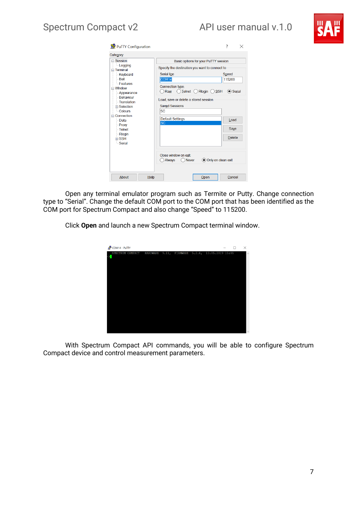

| PuTTY Configuration                                                                                                                                                  |         |                                                                                        |                                       |                                       | 7<br>$\times$   |  |
|----------------------------------------------------------------------------------------------------------------------------------------------------------------------|---------|----------------------------------------------------------------------------------------|---------------------------------------|---------------------------------------|-----------------|--|
| Category:                                                                                                                                                            |         |                                                                                        |                                       |                                       |                 |  |
| <b>⊟</b> Session<br>Logging                                                                                                                                          |         | Basic options for your PuTTY session<br>Specify the destination you want to connect to |                                       |                                       |                 |  |
| $\equiv$ Terminal<br><b>Keyboard</b><br>$-Bell$<br><b>Eeatures</b><br>$\equiv$ Window<br>- Appearance<br>- Behaviour<br>Translation<br><b>⊞</b> Selection<br>Colours |         | <b>Serial line</b><br>COM <sub>14</sub>                                                |                                       |                                       | Speed<br>115200 |  |
|                                                                                                                                                                      |         | Raw                                                                                    | Connection type:<br>Telnet (          | Rloqin $\bigcirc$ SSH                 | $\odot$ Serial  |  |
|                                                                                                                                                                      |         | <b>SC</b>                                                                              | <b>Saved Sessions</b>                 | Load, save or delete a stored session |                 |  |
| Connection<br>- Data                                                                                                                                                 |         | <b>SC</b>                                                                              | <b>Default Settings</b>               |                                       | Load            |  |
| <b>Proxy</b><br>Telnet                                                                                                                                               |         |                                                                                        |                                       |                                       | Save            |  |
| - Rlogin<br><b>⊞ SSH</b><br>- Serial                                                                                                                                 |         |                                                                                        |                                       |                                       | <b>Delete</b>   |  |
|                                                                                                                                                                      |         | Always                                                                                 | Close window on exit:<br><b>Never</b> | Only on clean exit                    |                 |  |
| About                                                                                                                                                                | $He$ lp |                                                                                        |                                       | $O$ pen                               | Cancel          |  |

Open any terminal emulator program such as Termite or Putty. Change connection type to "Serial". Change the default COM port to the COM port that has been identified as the COM port for Spectrum Compact and also change "Speed" to 115200.

Click **Open** and launch a new Spectrum Compact terminal window.



With Spectrum Compact API commands, you will be able to configure Spectrum Compact device and control measurement parameters.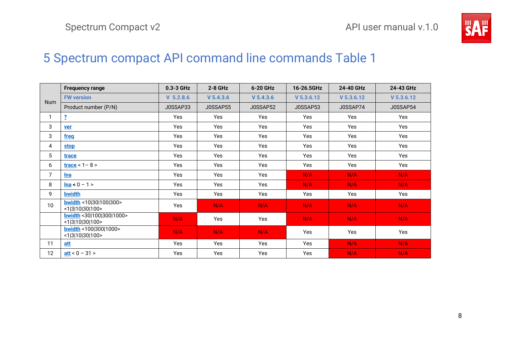

### <span id="page-8-1"></span>5 Spectrum compact API command line commands [Table 1](#page-8-1)

<span id="page-8-2"></span><span id="page-8-0"></span>

|                | <b>Frequency range</b>                       | $0.3 - 3$ GHz | $2-8$ GHz | 6-20 GHz  | 16-26.5GHz   | 24-40 GHz    | 24-43 GHz    |
|----------------|----------------------------------------------|---------------|-----------|-----------|--------------|--------------|--------------|
| <b>Num</b>     | <b>FW version</b>                            | $V$ 5.2.8.6   | V 5.4.3.6 | V 5.4.3.6 | $V$ 5.3.6.12 | $V$ 5.3.6.12 | $V$ 5.3.6.12 |
|                | Product number (P/N)                         | J0SSAP33      | J0SSAP55  | J0SSAP52  | J0SSAP53     | J0SSAP74     | J0SSAP54     |
| 1              | $\overline{2}$                               | Yes           | Yes       | Yes       | Yes          | <b>Yes</b>   | Yes          |
| 3              | <b>ver</b>                                   | Yes           | Yes       | Yes       | Yes          | Yes          | Yes          |
| 3              | freq                                         | Yes           | Yes       | Yes       | Yes          | Yes          | Yes          |
| 4              | <b>stop</b>                                  | Yes           | Yes       | Yes       | Yes          | Yes          | Yes          |
| 5              | trace                                        | Yes           | Yes       | Yes       | Yes          | Yes          | Yes          |
| 6              | $trace < 1 - 8 >$                            | Yes           | Yes       | Yes       | Yes          | Yes          | Yes          |
| $\overline{7}$ | <u>Ina</u>                                   | Yes           | Yes       | Yes       | N/A          | N/A          | N/A          |
| 8              | $lna < 0 - 1 >$                              | Yes           | Yes       | Yes       | N/A          | N/A          | N/A          |
| 9              | bwidth                                       | Yes           | Yes       | Yes       | Yes          | Yes          | Yes          |
| 10             | bwidth <10 30 100 300><br><1 3 10 30 100>    | Yes           | N/A       | N/A       | N/A          | N/A          | N/A          |
|                | bwidth < 30 100 300 1000><br><1 3 10 30 100> | N/A           | Yes       | Yes       | N/A          | N/A          | N/A          |
|                | bwidth <100 300 1000><br><1 3 10 30 100>     | N/A           | N/A       | N/A       | Yes          | Yes          | Yes          |
| 11             | att                                          | Yes           | Yes       | Yes       | Yes          | N/A          | N/A          |
| 12             | $att < 0 - 31$                               | Yes           | Yes       | Yes       | Yes          | N/A          | N/A          |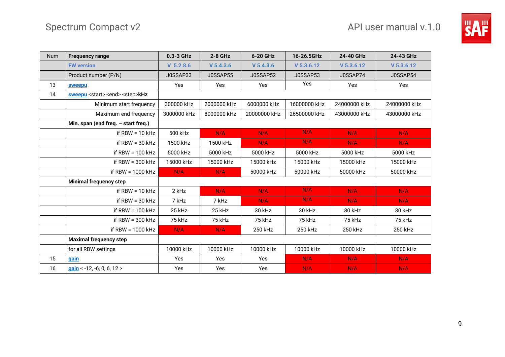

| <b>Num</b> | <b>Frequency range</b>                              | 0.3-3 GHz   | $2 - 8$ GHz | 6-20 GHz     | 16-26.5GHz   | 24-40 GHz    | 24-43 GHz    |
|------------|-----------------------------------------------------|-------------|-------------|--------------|--------------|--------------|--------------|
|            | <b>FW version</b>                                   | $V$ 5.2.8.6 | V 5.4.3.6   | $V$ 5.4.3.6  | $V$ 5.3.6.12 | $V$ 5.3.6.12 | $V$ 5.3.6.12 |
|            | Product number (P/N)                                | J0SSAP33    | J0SSAP55    | J0SSAP52     | J0SSAP53     | J0SSAP74     | J0SSAP54     |
| 13         | sweepu                                              | Yes         | Yes         | Yes          | Yes          | Yes          | Yes          |
| 14         | sweepu <start> <end> <step>kHz</step></end></start> |             |             |              |              |              |              |
|            | Minimum start frequency                             | 300000 kHz  | 2000000 kHz | 6000000 kHz  | 16000000 kHz | 24000000 kHz | 24000000 kHz |
|            | Maximum end frequency                               | 3000000 kHz | 8000000 kHz | 20000000 kHz | 26500000 kHz | 43000000 kHz | 43000000 kHz |
|            | Min. span (end freq. - start freq.)                 |             |             |              |              |              |              |
|            | if RBW = $10$ kHz                                   | 500 kHz     | N/A         | N/A          | N/A          | N/A          | N/A          |
|            | if RBW = $30$ kHz                                   | 1500 kHz    | 1500 kHz    | N/A          | N/A          | N/A          | N/A          |
|            | if RBW = $100$ kHz                                  | 5000 kHz    | 5000 kHz    | 5000 kHz     | 5000 kHz     | 5000 kHz     | 5000 kHz     |
|            | if $RBW = 300 kHz$                                  | 15000 kHz   | 15000 kHz   | 15000 kHz    | 15000 kHz    | 15000 kHz    | 15000 kHz    |
|            | if RBW = $1000$ kHz                                 | N/A         | N/A         | 50000 kHz    | 50000 kHz    | 50000 kHz    | 50000 kHz    |
|            | <b>Minimal frequency step</b>                       |             |             |              |              |              |              |
|            | if RBW = $10$ kHz                                   | 2 kHz       | N/A         | N/A          | N/A          | N/A          | N/A          |
|            | if RBW = $30$ kHz                                   | 7 kHz       | 7 kHz       | N/A          | N/A          | N/A          | N/A          |
|            | if RBW = $100$ kHz                                  | 25 kHz      | 25 kHz      | 30 kHz       | 30 kHz       | 30 kHz       | 30 kHz       |
|            | if $RBW = 300 kHz$                                  | 75 kHz      | 75 kHz      | 75 kHz       | 75 kHz       | 75 kHz       | 75 kHz       |
|            | if RBW = $1000$ kHz                                 | N/A         | N/A         | 250 kHz      | 250 kHz      | 250 kHz      | 250 kHz      |
|            | <b>Maximal frequency step</b>                       |             |             |              |              |              |              |
|            | for all RBW settings                                | 10000 kHz   | 10000 kHz   | 10000 kHz    | 10000 kHz    | 10000 kHz    | 10000 kHz    |
| 15         | <b>gain</b>                                         | Yes         | Yes         | Yes          | N/A          | N/A          | N/A          |
| 16         | $gain < -12, -6, 0, 6, 12 >$                        | Yes         | Yes         | Yes          | N/A          | N/A          | N/A          |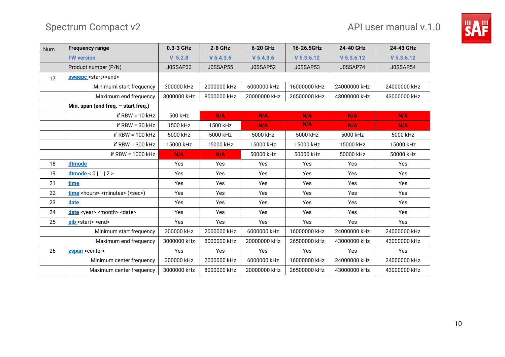

| <b>Num</b> | <b>Frequency range</b>                                 | 0.3-3 GHz   | $2-8$ GHz   | 6-20 GHz     | 16-26.5GHz   | 24-40 GHz    | 24-43 GHz    |
|------------|--------------------------------------------------------|-------------|-------------|--------------|--------------|--------------|--------------|
|            | <b>FW version</b>                                      | $V$ 5.2.8   | $V$ 5.4.3.6 | $V$ 5.4.3.6  | $V$ 5.3.6.12 | $V$ 5.3.6.12 | $V$ 5.3.6.12 |
|            | Product number (P/N)                                   | J0SSAP33    | J0SSAP55    | J0SSAP52     | J0SSAP53     | J0SSAP74     | J0SSAP54     |
| 17         | sweepc <start><end></end></start>                      |             |             |              |              |              |              |
|            | Minimuml start frequency                               | 300000 kHz  | 2000000 kHz | 6000000 kHz  | 16000000 kHz | 24000000 kHz | 24000000 kHz |
|            | Maximum end frequency                                  | 3000000 kHz | 8000000 kHz | 20000000 kHz | 26500000 kHz | 43000000 kHz | 43000000 kHz |
|            | Min. span (end freq. $-$ start freq.)                  |             |             |              |              |              |              |
|            | if $RBW = 10 kHz$                                      | 500 kHz     | N/A         | N/A          | N/A          | N/A          | N/A          |
|            | if $RBW = 30 kHz$                                      | 1500 kHz    | 1500 kHz    | N/A          | N/A          | N/A          | N/A          |
|            | if RBW = $100$ kHz                                     | 5000 kHz    | 5000 kHz    | 5000 kHz     | 5000 kHz     | 5000 kHz     | 5000 kHz     |
|            | if RBW = $300$ kHz                                     | 15000 kHz   | 15000 kHz   | 15000 kHz    | 15000 kHz    | 15000 kHz    | 15000 kHz    |
|            | if RBW = $1000$ kHz                                    | N/A         | N/A         | 50000 kHz    | 50000 kHz    | 50000 kHz    | 50000 kHz    |
| 18         | dtmode                                                 | Yes         | Yes         | Yes          | Yes          | Yes          | Yes          |
| 19         | $d$ tmode < 0   1   2 >                                | Yes         | Yes         | Yes          | Yes          | <b>Yes</b>   | Yes          |
| 21         | time                                                   | Yes         | Yes         | Yes          | Yes          | Yes          | Yes          |
| 22         | time <hours> <minutes> (<sec>)</sec></minutes></hours> | Yes         | Yes         | Yes          | Yes          | <b>Yes</b>   | Yes          |
| 23         | date                                                   | Yes         | Yes         | Yes          | Yes          | Yes          | Yes          |
| 24         | date <year> <month> <date></date></month></year>       | Yes         | Yes         | Yes          | Yes          | Yes          | Yes          |
| 25         | pib <start> <end></end></start>                        | Yes         | Yes         | Yes          | Yes          | Yes          | Yes          |
|            | Minimum start frequency                                | 300000 kHz  | 2000000 kHz | 6000000 kHz  | 16000000 kHz | 24000000 kHz | 24000000 kHz |
|            | Maximum end frequency                                  | 3000000 kHz | 8000000 kHz | 20000000 kHz | 26500000 kHz | 43000000 kHz | 43000000 kHz |
| 26         | zspan <center></center>                                | Yes         | Yes         | Yes          | Yes          | <b>Yes</b>   | Yes          |
|            | Minimum center frequency                               | 300000 kHz  | 2000000 kHz | 6000000 kHz  | 16000000 kHz | 24000000 kHz | 24000000 kHz |
|            | Maximum center frequency                               | 3000000 kHz | 8000000 kHz | 20000000 kHz | 26500000 kHz | 43000000 kHz | 43000000 kHz |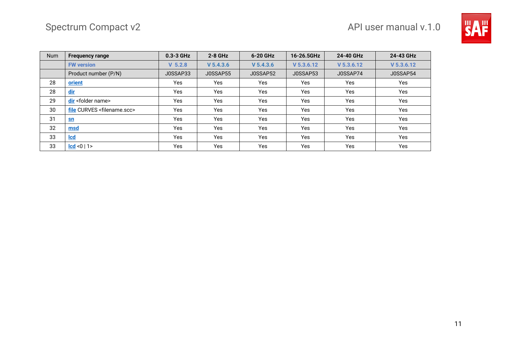

| <b>Num</b> | <b>Frequency range</b>                    | $0.3 - 3$ GHz | $2 - 8$ GHz | 6-20 GHz    | 16-26.5GHz   | 24-40 GHz    | 24-43 GHz    |
|------------|-------------------------------------------|---------------|-------------|-------------|--------------|--------------|--------------|
|            | <b>FW version</b>                         | $V$ 5.2.8     | $V$ 5.4.3.6 | $V$ 5.4.3.6 | $V$ 5.3.6.12 | $V$ 5.3.6.12 | $V$ 5.3.6.12 |
|            | Product number (P/N)                      | J0SSAP33      | J0SSAP55    | J0SSAP52    | J0SSAP53     | J0SSAP74     | J0SSAP54     |
| 28         | orient                                    | <b>Yes</b>    | Yes         | Yes         | Yes          | Yes          | Yes          |
| 28         | <u>dir</u>                                | Yes           | Yes         | Yes         | Yes          | Yes          | Yes          |
| 29         | dir <folder name=""></folder>             | <b>Yes</b>    | <b>Yes</b>  | Yes         | Yes          | Yes          | Yes          |
| 30         | file CURVES <filename.scc></filename.scc> | Yes           | Yes         | Yes         | Yes          | Yes          | Yes          |
| 31         | $\mathbf{sn}$                             | Yes           | Yes         | Yes         | Yes          | Yes          | Yes          |
| 32         | msd                                       | Yes           | Yes         | Yes         | Yes          | Yes          | Yes          |
| 33         | <u>Icd</u>                                | Yes           | Yes         | Yes         | Yes          | Yes          | Yes          |
| 33         | cd  < 0   1                               | Yes           | Yes         | Yes         | <b>Yes</b>   | Yes          | Yes          |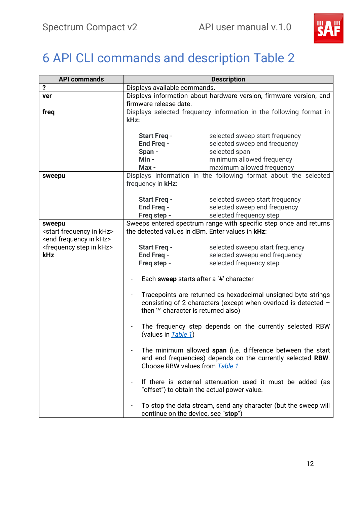

# <span id="page-12-3"></span><span id="page-12-2"></span><span id="page-12-1"></span><span id="page-12-0"></span>6 API CLI commands and description Table 2

| <b>API commands</b>                          | <b>Description</b>                                                                           |                                                                   |  |  |
|----------------------------------------------|----------------------------------------------------------------------------------------------|-------------------------------------------------------------------|--|--|
| ?                                            | Displays available commands.                                                                 |                                                                   |  |  |
| ver                                          | Displays information about hardware version, firmware version, and<br>firmware release date. |                                                                   |  |  |
|                                              |                                                                                              |                                                                   |  |  |
| freq                                         | Displays selected frequency information in the following format in                           |                                                                   |  |  |
|                                              | kHz:                                                                                         |                                                                   |  |  |
|                                              |                                                                                              |                                                                   |  |  |
|                                              | <b>Start Freq -</b>                                                                          | selected sweep start frequency                                    |  |  |
|                                              | <b>End Freq -</b>                                                                            | selected sweep end frequency                                      |  |  |
|                                              | Span -                                                                                       | selected span                                                     |  |  |
|                                              | Min -                                                                                        | minimum allowed frequency                                         |  |  |
|                                              | Max -                                                                                        | maximum allowed frequency                                         |  |  |
| sweepu                                       |                                                                                              | Displays information in the following format about the selected   |  |  |
|                                              | frequency in <b>kHz:</b>                                                                     |                                                                   |  |  |
|                                              |                                                                                              |                                                                   |  |  |
|                                              | <b>Start Freq -</b>                                                                          | selected sweep start frequency                                    |  |  |
|                                              | End Freq -                                                                                   | selected sweep end frequency                                      |  |  |
|                                              | Freq step -                                                                                  | selected frequency step                                           |  |  |
| sweepu                                       |                                                                                              | Sweeps entered spectrum range with specific step once and returns |  |  |
| <start frequency="" in="" khz=""></start>    | the detected values in dBm. Enter values in <b>kHz</b> :                                     |                                                                   |  |  |
| <end frequency="" in="" khz=""></end>        |                                                                                              |                                                                   |  |  |
| <frequency in="" khz="" step=""></frequency> | <b>Start Freq -</b>                                                                          | selected sweepu start frequency                                   |  |  |
| <b>kHz</b>                                   | End Freq -                                                                                   | selected sweepu end frequency                                     |  |  |
|                                              | Freq step -                                                                                  | selected frequency step                                           |  |  |
|                                              |                                                                                              |                                                                   |  |  |
|                                              | Each sweep starts after a '#' character                                                      |                                                                   |  |  |
|                                              |                                                                                              |                                                                   |  |  |
|                                              | Tracepoints are returned as hexadecimal unsigned byte strings                                |                                                                   |  |  |
|                                              |                                                                                              | consisting of 2 characters (except when overload is detected -    |  |  |
|                                              | then "" character is returned also)                                                          |                                                                   |  |  |
|                                              | The frequency step depends on the currently selected RBW                                     |                                                                   |  |  |
|                                              | (values in Table 1)                                                                          |                                                                   |  |  |
|                                              |                                                                                              |                                                                   |  |  |
|                                              |                                                                                              | The minimum allowed span (i.e. difference between the start       |  |  |
|                                              |                                                                                              | and end frequencies) depends on the currently selected RBW.       |  |  |
|                                              | Choose RBW values from Table 1                                                               |                                                                   |  |  |
|                                              |                                                                                              |                                                                   |  |  |
|                                              | If there is external attenuation used it must be added (as                                   |                                                                   |  |  |
|                                              | "offset") to obtain the actual power value.                                                  |                                                                   |  |  |
|                                              |                                                                                              |                                                                   |  |  |
|                                              |                                                                                              | To stop the data stream, send any character (but the sweep will   |  |  |
|                                              | continue on the device, see "stop")                                                          |                                                                   |  |  |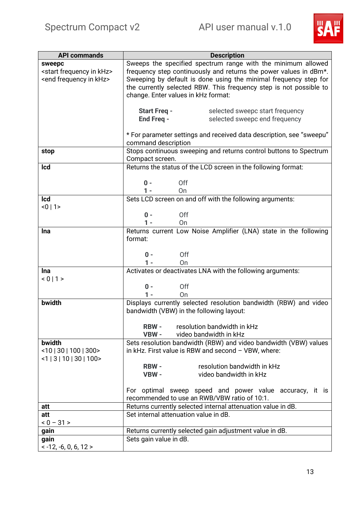

<span id="page-13-6"></span><span id="page-13-5"></span><span id="page-13-4"></span><span id="page-13-3"></span><span id="page-13-2"></span><span id="page-13-1"></span><span id="page-13-0"></span>

| <b>API commands</b>                       | <b>Description</b>                                                                                      |  |  |  |  |
|-------------------------------------------|---------------------------------------------------------------------------------------------------------|--|--|--|--|
| sweepc                                    | Sweeps the specified spectrum range with the minimum allowed                                            |  |  |  |  |
| <start frequency="" in="" khz=""></start> | frequency step continuously and returns the power values in dBm*.                                       |  |  |  |  |
| <end frequency="" in="" khz=""></end>     | Sweeping by default is done using the minimal frequency step for                                        |  |  |  |  |
|                                           | the currently selected RBW. This frequency step is not possible to                                      |  |  |  |  |
|                                           | change. Enter values in kHz format:                                                                     |  |  |  |  |
|                                           |                                                                                                         |  |  |  |  |
|                                           | selected sweepc start frequency<br>Start Freq -<br>End Freq -<br>selected sweepc end frequency          |  |  |  |  |
|                                           |                                                                                                         |  |  |  |  |
|                                           | * For parameter settings and received data description, see "sweepu"                                    |  |  |  |  |
|                                           | command description                                                                                     |  |  |  |  |
| stop                                      | Stops continuous sweeping and returns control buttons to Spectrum                                       |  |  |  |  |
|                                           | Compact screen.                                                                                         |  |  |  |  |
| <b>Icd</b>                                | Returns the status of the LCD screen in the following format:                                           |  |  |  |  |
|                                           | $0 -$<br>Off                                                                                            |  |  |  |  |
|                                           | $1 -$<br>On                                                                                             |  |  |  |  |
| <b>Icd</b>                                | Sets LCD screen on and off with the following arguments:                                                |  |  |  |  |
| < 0   1                                   |                                                                                                         |  |  |  |  |
|                                           | Off<br>$0 -$                                                                                            |  |  |  |  |
|                                           | On<br>1 -                                                                                               |  |  |  |  |
| <b>Ina</b>                                | Returns current Low Noise Amplifier (LNA) state in the following                                        |  |  |  |  |
|                                           | format:                                                                                                 |  |  |  |  |
|                                           |                                                                                                         |  |  |  |  |
|                                           | Off<br>$0 -$<br>$1 -$<br>On                                                                             |  |  |  |  |
| <b>Ina</b>                                | Activates or deactivates LNA with the following arguments:                                              |  |  |  |  |
| < 0   1 >                                 |                                                                                                         |  |  |  |  |
|                                           | Off<br>$0 -$                                                                                            |  |  |  |  |
|                                           | On<br>$1 -$                                                                                             |  |  |  |  |
| bwidth                                    | Displays currently selected resolution bandwidth (RBW) and video                                        |  |  |  |  |
|                                           | bandwidth (VBW) in the following layout:                                                                |  |  |  |  |
|                                           | resolution bandwidth in kHz<br><b>RBW -</b>                                                             |  |  |  |  |
|                                           | video bandwidth in kHz<br>VBW -                                                                         |  |  |  |  |
| bwidth                                    | Sets resolution bandwidth (RBW) and video bandwidth (VBW) values                                        |  |  |  |  |
| $<$ 10   30   100   300 >                 | in kHz. First value is RBW and second $-$ VBW, where:                                                   |  |  |  |  |
| $<1$   3   10   30   100 >                |                                                                                                         |  |  |  |  |
|                                           | resolution bandwidth in kHz<br><b>RBW -</b>                                                             |  |  |  |  |
|                                           | video bandwidth in kHz<br>VBW -                                                                         |  |  |  |  |
|                                           |                                                                                                         |  |  |  |  |
|                                           | For optimal sweep speed and power value accuracy, it is<br>recommended to use an RWB/VBW ratio of 10:1. |  |  |  |  |
| att                                       | Returns currently selected internal attenuation value in dB.                                            |  |  |  |  |
| att                                       | Set internal attenuation value in dB.                                                                   |  |  |  |  |
| $< 0 - 31 >$                              |                                                                                                         |  |  |  |  |
| gain                                      | Returns currently selected gain adjustment value in dB.                                                 |  |  |  |  |
| gain                                      | Sets gain value in dB.                                                                                  |  |  |  |  |
| $< -12, -6, 0, 6, 12 >$                   |                                                                                                         |  |  |  |  |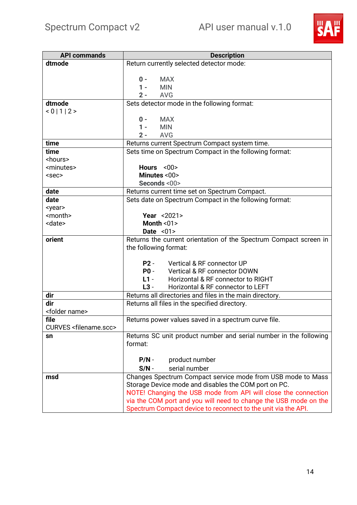

<span id="page-14-7"></span><span id="page-14-6"></span><span id="page-14-5"></span><span id="page-14-4"></span><span id="page-14-3"></span><span id="page-14-2"></span><span id="page-14-1"></span><span id="page-14-0"></span>

| <b>API commands</b>                         | <b>Description</b>                                                |  |  |
|---------------------------------------------|-------------------------------------------------------------------|--|--|
| dtmode                                      | Return currently selected detector mode:                          |  |  |
|                                             |                                                                   |  |  |
|                                             | <b>MAX</b><br>$0 -$                                               |  |  |
|                                             | <b>MIN</b><br>$1 -$                                               |  |  |
|                                             | $2 -$<br><b>AVG</b>                                               |  |  |
| dtmode                                      | Sets detector mode in the following format:                       |  |  |
| < 0   1   2 >                               |                                                                   |  |  |
|                                             | $0 -$<br><b>MAX</b>                                               |  |  |
|                                             | $1 -$<br><b>MIN</b>                                               |  |  |
|                                             | $2 -$<br><b>AVG</b>                                               |  |  |
| time                                        | Returns current Spectrum Compact system time.                     |  |  |
| time                                        | Sets time on Spectrum Compact in the following format:            |  |  |
| <hours></hours>                             |                                                                   |  |  |
| <minutes></minutes>                         | Hours $<00>$                                                      |  |  |
| $<$ sec $>$                                 | Minutes <00>                                                      |  |  |
|                                             | Seconds <00>                                                      |  |  |
| date                                        | Returns current time set on Spectrum Compact.                     |  |  |
| date                                        | Sets date on Spectrum Compact in the following format:            |  |  |
| <year></year>                               |                                                                   |  |  |
| <month><br/><date></date></month>           | <b>Year &lt;2021&gt;</b><br>Month $01$                            |  |  |
|                                             | Date $<01>$                                                       |  |  |
| orient                                      | Returns the current orientation of the Spectrum Compact screen in |  |  |
|                                             | the following format:                                             |  |  |
|                                             |                                                                   |  |  |
|                                             | Vertical & RF connector UP<br>$P2 -$                              |  |  |
|                                             | $P0 -$<br><b>Vertical &amp; RF connector DOWN</b>                 |  |  |
|                                             | $L1 -$<br>Horizontal & RF connector to RIGHT                      |  |  |
|                                             | $L3 -$<br>Horizontal & RF connector to LEFT                       |  |  |
| dir                                         | Returns all directories and files in the main directory.          |  |  |
| dir                                         | Returns all files in the specified directory.                     |  |  |
| <folder name=""></folder>                   |                                                                   |  |  |
| file                                        | Returns power values saved in a spectrum curve file.              |  |  |
| <b>CURVES <filename.scc></filename.scc></b> |                                                                   |  |  |
| sn                                          | Returns SC unit product number and serial number in the following |  |  |
|                                             | format:                                                           |  |  |
|                                             |                                                                   |  |  |
|                                             | product number<br>$P/N -$                                         |  |  |
|                                             | serial number<br>$S/N -$                                          |  |  |
| msd                                         | Changes Spectrum Compact service mode from USB mode to Mass       |  |  |
|                                             | Storage Device mode and disables the COM port on PC.              |  |  |
|                                             | NOTE! Changing the USB mode from API will close the connection    |  |  |
|                                             | via the COM port and you will need to change the USB mode on the  |  |  |
|                                             | Spectrum Compact device to reconnect to the unit via the API.     |  |  |